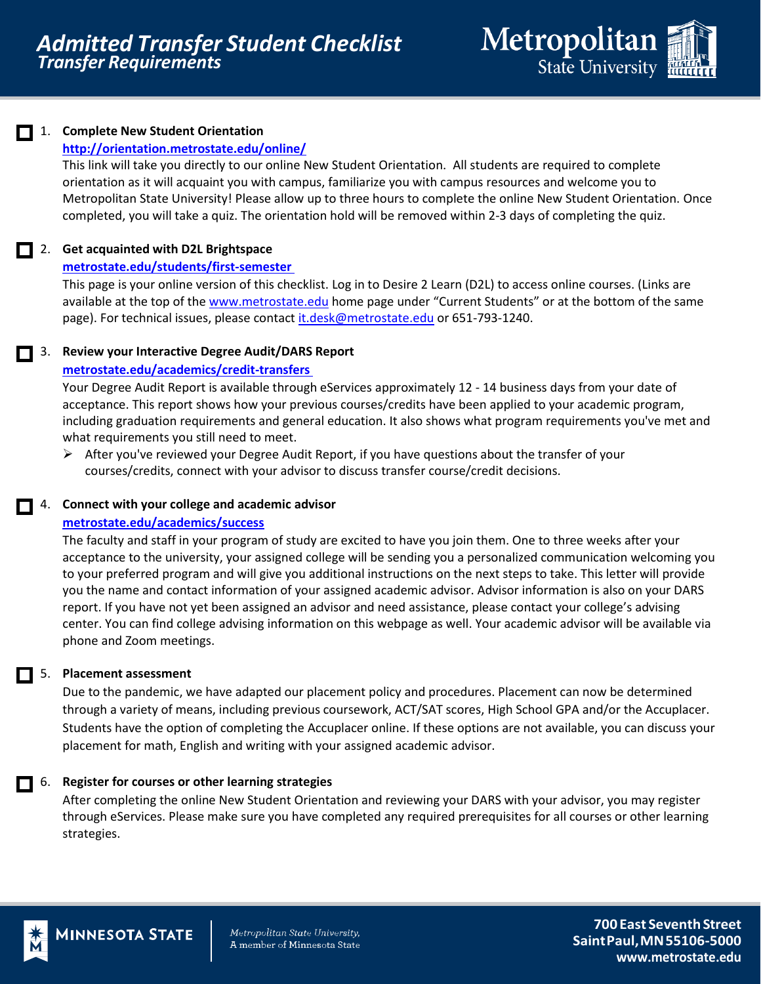

# 1. **Complete New Student Orientation**

## **<http://orientation.metrostate.edu/online/>**

This link will take you directly to our online New Student Orientation. All students are required to complete orientation as it will acquaint you with campus, familiarize you with campus resources and welcome you to Metropolitan State University! Please allow up to three hours to complete the online New Student Orientation. Once completed, you will take a quiz. The orientation hold will be removed within 2-3 days of completing the quiz.

### 2. **Get acquainted with D2L Brightspace**

### **metrostate.edu/students/first-semester**

This page is your online version of this checklist. Log in to Desire 2 Learn (D2L) to access online courses. (Links are available at the top of the [www.metrostate.edu](http://www.metrostate.edu/) home page under "Current Students" or at the bottom of the same page). For technical issues, please contact [it.desk@metrostate.edu](mailto:it.desk@metrostate.edu) or 651-793-1240.

# 3. **Review your Interactive Degree Audit/DARS Report**

### **[metrostate.edu/academics/credit-transfers](https://www.metrostate.edu/academics/credit-transfers)**

Your Degree Audit Report is available through eServices approximately 12 - 14 business days from your date of acceptance. This report shows how your previous courses/credits have been applied to your academic program, including graduation requirements and general education. It also shows what program requirements you've met and what requirements you still need to meet.

 $\triangleright$  After you've reviewed your Degree Audit Report, if you have questions about the transfer of your courses/credits, connect with your advisor to discuss transfer course/credit decisions.

# 4. **Connect with your college and academic advisor**

### **[metrostate.edu/academics/success](http://www.metrostate.edu/academics/success)**

The faculty and staff in your program of study are excited to have you join them. One to three weeks after your acceptance to the university, your assigned college will be sending you a personalized communication welcoming you to your preferred program and will give you additional instructions on the next steps to take. This letter will provide you the name and contact information of your assigned academic advisor. Advisor information is also on your DARS report. If you have not yet been assigned an advisor and need assistance, please contact your college's advising center. You can find college advising information on this webpage as well. Your academic advisor will be available via phone and Zoom meetings.

# 5. **Placement assessment**

Due to the pandemic, we have adapted our placement policy and procedures. Placement can now be determined through a variety of means, including previous coursework, ACT/SAT scores, High School GPA and/or the Accuplacer. Students have the option of completing the Accuplacer online. If these options are not available, you can discuss your placement for math, English and writing with your assigned academic advisor.

# 6. **Register for courses or other learning strategies**

After completing the online New Student Orientation and reviewing your DARS with your advisor, you may register through eServices. Please make sure you have completed any required prerequisites for all courses or other learning strategies.



**MINNESOTA STATE** 

Metropolitan State University, A member of Minnesota State

**700 East SeventhStreet SaintPaul,MN55106-5000 [www.metrostate.edu](http://www.metrostate.edu/)**